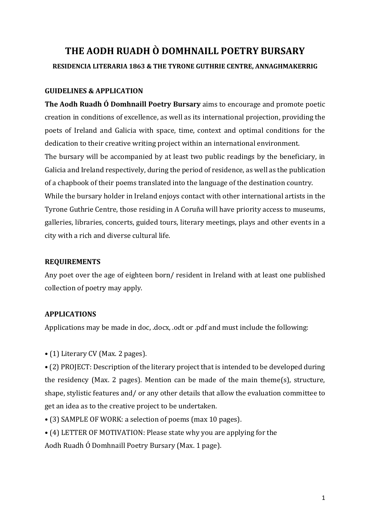# **THE AODH RUADH Ò DOMHNAILL POETRY BURSARY RESIDENCIA LITERARIA 1863 & THE TYRONE GUTHRIE CENTRE, ANNAGHMAKERRIG**

## **GUIDELINES & APPLICATION**

**The Aodh Ruadh Ó Domhnaill Poetry Bursary** aims to encourage and promote poetic creation in conditions of excellence, as well as its international projection, providing the poets of Ireland and Galicia with space, time, context and optimal conditions for the dedication to their creative writing project within an international environment.

The bursary will be accompanied by at least two public readings by the beneficiary, in Galicia and Ireland respectively, during the period of residence, as well as the publication of a chapbook of their poems translated into the language of the destination country.

While the bursary holder in Ireland enjoys contact with other international artists in the Tyrone Guthrie Centre, those residing in A Coruña will have priority access to museums, galleries, libraries, concerts, guided tours, literary meetings, plays and other events in a city with a rich and diverse cultural life.

# **REQUIREMENTS**

Any poet over the age of eighteen born/ resident in Ireland with at least one published collection of poetry may apply.

# **APPLICATIONS**

Applications may be made in doc, .docx, .odt or .pdf and must include the following:

• (1) Literary CV (Max. 2 pages).

• (2) PROJECT: Description of the literary project that is intended to be developed during the residency (Max. 2 pages). Mention can be made of the main theme(s), structure, shape, stylistic features and/ or any other details that allow the evaluation committee to get an idea as to the creative project to be undertaken.

- (3) SAMPLE OF WORK: a selection of poems (max 10 pages).
- (4) LETTER OF MOTIVATION: Please state why you are applying for the

Aodh Ruadh Ó Domhnaill Poetry Bursary (Max. 1 page).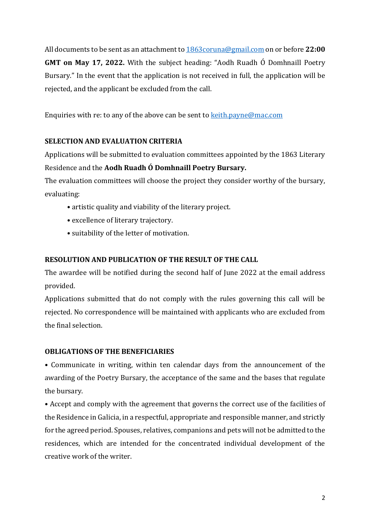All documents to be sent as an attachment t[o 1863coruna@gmail.com](mailto:1863coruna@gmail.com) on or before **22:00 GMT on May 17, 2022.** With the subject heading: "Aodh Ruadh Ó Domhnaill Poetry Bursary." In the event that the application is not received in full, the application will be rejected, and the applicant be excluded from the call.

Enquiries with re: to any of the above can be sent to [keith.payne@mac.com](mailto:keith.payne@mac.com)

# **SELECTION AND EVALUATION CRITERIA**

Applications will be submitted to evaluation committees appointed by the 1863 Literary Residence and the **Aodh Ruadh Ó Domhnaill Poetry Bursary.**

The evaluation committees will choose the project they consider worthy of the bursary, evaluating:

- artistic quality and viability of the literary project.
- excellence of literary trajectory.
- suitability of the letter of motivation.

# **RESOLUTION AND PUBLICATION OF THE RESULT OF THE CALL**

The awardee will be notified during the second half of June 2022 at the email address provided.

Applications submitted that do not comply with the rules governing this call will be rejected. No correspondence will be maintained with applicants who are excluded from the final selection.

### **OBLIGATIONS OF THE BENEFICIARIES**

• Communicate in writing, within ten calendar days from the announcement of the awarding of the Poetry Bursary, the acceptance of the same and the bases that regulate the bursary.

• Accept and comply with the agreement that governs the correct use of the facilities of the Residence in Galicia, in a respectful, appropriate and responsible manner, and strictly for the agreed period. Spouses, relatives, companions and pets will not be admitted to the residences, which are intended for the concentrated individual development of the creative work of the writer.